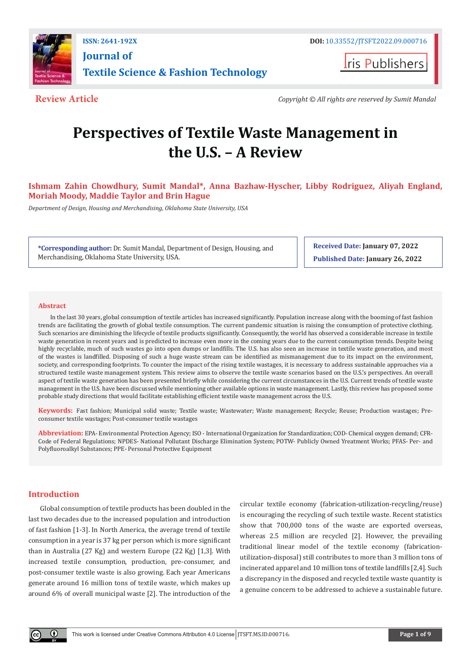

**ISSN: 2641-192X DOI:** [10.33552/JTSFT.2022.09.000716](https://dx.doi.org/10.33552/JTSFT.2022.09.000716) **[Journal of](https://irispublishers.com/jtsft/)  [Textile Science & Fashion Technology](https://irispublishers.com/jtsft/)**

**I**ris Publishers

**Review Article** *Copyright © All rights are reserved by Sumit Mandal*

# **Perspectives of Textile Waste Management in the U.S. – A Review**

# **Ishmam Zahin Chowdhury, Sumit Mandal\*, Anna Bazhaw-Hyscher, Libby Rodriguez, Aliyah England, Moriah Moody, Maddie Taylor and Brin Hague**

*Department of Design, Housing and Merchandising, Oklahoma State University, USA* 

**\*Corresponding author:** Dr. Sumit Mandal, Department of Design, Housing, and Merchandising, Oklahoma State University, USA.

**Received Date: January 07, 2022 Published Date: January 26, 2022**

#### **Abstract**

In the last 30 years, global consumption of textile articles has increased significantly. Population increase along with the booming of fast fashion trends are facilitating the growth of global textile consumption. The current pandemic situation is raising the consumption of protective clothing. Such scenarios are diminishing the lifecycle of textile products significantly. Consequently, the world has observed a considerable increase in textile waste generation in recent years and is predicted to increase even more in the coming years due to the current consumption trends. Despite being highly recyclable, much of such wastes go into open dumps or landfills. The U.S. has also seen an increase in textile waste generation, and most of the wastes is landfilled. Disposing of such a huge waste stream can be identified as mismanagement due to its impact on the environment, society, and corresponding footprints. To counter the impact of the rising textile wastages, it is necessary to address sustainable approaches via a structured textile waste management system. This review aims to observe the textile waste scenarios based on the U.S.'s perspectives. An overall aspect of textile waste generation has been presented briefly while considering the current circumstances in the U.S. Current trends of textile waste management in the U.S. have been discussed while mentioning other available options in waste management. Lastly, this review has proposed some probable study directions that would facilitate establishing efficient textile waste management across the U.S.

**Keywords:** Fast fashion; Municipal solid waste; Textile waste; Wastewater; Waste management; Recycle; Reuse; Production wastages; Preconsumer textile wastages; Post-consumer textile wastages

**Abbreviation:** EPA- Environmental Protection Agency; ISO - International Organization for Standardization; COD- Chemical oxygen demand; CFR-Code of Federal Regulations; NPDES- National Pollutant Discharge Elimination System; POTW- Publicly Owned Yreatment Works; PFAS- Per- and Polyfluoroalkyl Substances; PPE- Personal Protective Equipment

# **Introduction**

Global consumption of textile products has been doubled in the last two decades due to the increased population and introduction of fast fashion [1-3]. In North America, the average trend of textile consumption in a year is 37 kg per person which is more significant than in Australia (27 Kg) and western Europe (22 Kg) [1,3]. With increased textile consumption, production, pre-consumer, and post-consumer textile waste is also growing. Each year Americans generate around 16 million tons of textile waste, which makes up around 6% of overall municipal waste [2]. The introduction of the

circular textile economy (fabrication-utilization-recycling/reuse) is encouraging the recycling of such textile waste. Recent statistics show that 700,000 tons of the waste are exported overseas, whereas 2.5 million are recycled [2]. However, the prevailing traditional linear model of the textile economy (fabricationutilization-disposal) still contributes to more than 3 million tons of incinerated apparel and 10 million tons of textile landfills [2,4]. Such a discrepancy in the disposed and recycled textile waste quantity is a genuine concern to be addressed to achieve a sustainable future.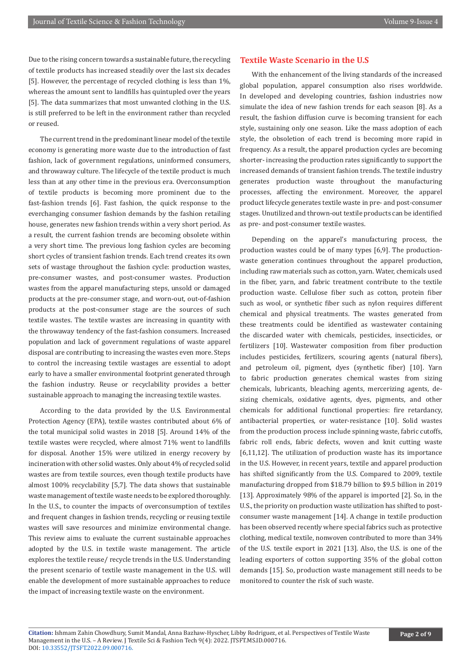Due to the rising concern towards a sustainable future, the recycling of textile products has increased steadily over the last six decades [5]. However, the percentage of recycled clothing is less than 1%, whereas the amount sent to landfills has quintupled over the years [5]. The data summarizes that most unwanted clothing in the U.S. is still preferred to be left in the environment rather than recycled or reused.

The current trend in the predominant linear model of the textile economy is generating more waste due to the introduction of fast fashion, lack of government regulations, uninformed consumers, and throwaway culture. The lifecycle of the textile product is much less than at any other time in the previous era. Overconsumption of textile products is becoming more prominent due to the fast-fashion trends [6]. Fast fashion, the quick response to the everchanging consumer fashion demands by the fashion retailing house, generates new fashion trends within a very short period. As a result, the current fashion trends are becoming obsolete within a very short time. The previous long fashion cycles are becoming short cycles of transient fashion trends. Each trend creates its own sets of wastage throughout the fashion cycle: production wastes, pre-consumer wastes, and post-consumer wastes. Production wastes from the apparel manufacturing steps, unsold or damaged products at the pre-consumer stage, and worn-out, out-of-fashion products at the post-consumer stage are the sources of such textile wastes. The textile wastes are increasing in quantity with the throwaway tendency of the fast-fashion consumers. Increased population and lack of government regulations of waste apparel disposal are contributing to increasing the wastes even more. Steps to control the increasing textile wastages are essential to adopt early to have a smaller environmental footprint generated through the fashion industry. Reuse or recyclability provides a better sustainable approach to managing the increasing textile wastes.

According to the data provided by the U.S. Environmental Protection Agency (EPA), textile wastes contributed about 6% of the total municipal solid wastes in 2018 [5]. Around 14% of the textile wastes were recycled, where almost 71% went to landfills for disposal. Another 15% were utilized in energy recovery by incineration with other solid wastes. Only about 4% of recycled solid wastes are from textile sources, even though textile products have almost 100% recyclability [5,7]. The data shows that sustainable waste management of textile waste needs to be explored thoroughly. In the U.S., to counter the impacts of overconsumption of textiles and frequent changes in fashion trends, recycling or reusing textile wastes will save resources and minimize environmental change. This review aims to evaluate the current sustainable approaches adopted by the U.S. in textile waste management. The article explores the textile reuse/ recycle trends in the U.S. Understanding the present scenario of textile waste management in the U.S. will enable the development of more sustainable approaches to reduce the impact of increasing textile waste on the environment.

# **Textile Waste Scenario in the U.S**

With the enhancement of the living standards of the increased global population, apparel consumption also rises worldwide. In developed and developing countries, fashion industries now simulate the idea of new fashion trends for each season [8]. As a result, the fashion diffusion curve is becoming transient for each style, sustaining only one season. Like the mass adoption of each style, the obsoletion of each trend is becoming more rapid in frequency. As a result, the apparel production cycles are becoming shorter- increasing the production rates significantly to support the increased demands of transient fashion trends. The textile industry generates production waste throughout the manufacturing processes, affecting the environment. Moreover, the apparel product lifecycle generates textile waste in pre- and post-consumer stages. Unutilized and thrown-out textile products can be identified as pre- and post-consumer textile wastes.

Depending on the apparel's manufacturing process, the production wastes could be of many types [6,9]. The productionwaste generation continues throughout the apparel production, including raw materials such as cotton, yarn. Water, chemicals used in the fiber, yarn, and fabric treatment contribute to the textile production waste. Cellulose fiber such as cotton, protein fiber such as wool, or synthetic fiber such as nylon requires different chemical and physical treatments. The wastes generated from these treatments could be identified as wastewater containing the discarded water with chemicals, pesticides, insecticides, or fertilizers [10]. Wastewater composition from fiber production includes pesticides, fertilizers, scouring agents (natural fibers), and petroleum oil, pigment, dyes (synthetic fiber) [10]. Yarn to fabric production generates chemical wastes from sizing chemicals, lubricants, bleaching agents, mercerizing agents, desizing chemicals, oxidative agents, dyes, pigments, and other chemicals for additional functional properties: fire retardancy, antibacterial properties, or water-resistance [10]. Solid wastes from the production process include spinning waste, fabric cutoffs, fabric roll ends, fabric defects, woven and knit cutting waste [6,11,12]. The utilization of production waste has its importance in the U.S. However, in recent years, textile and apparel production has shifted significantly from the U.S. Compared to 2009, textile manufacturing dropped from \$18.79 billion to \$9.5 billion in 2019 [13]. Approximately 98% of the apparel is imported [2]. So, in the U.S., the priority on production waste utilization has shifted to postconsumer waste management [14]. A change in textile production has been observed recently where special fabrics such as protective clothing, medical textile, nonwoven contributed to more than 34% of the U.S. textile export in 2021 [13]. Also, the U.S. is one of the leading exporters of cotton supporting 35% of the global cotton demands [15]. So, production waste management still needs to be monitored to counter the risk of such waste.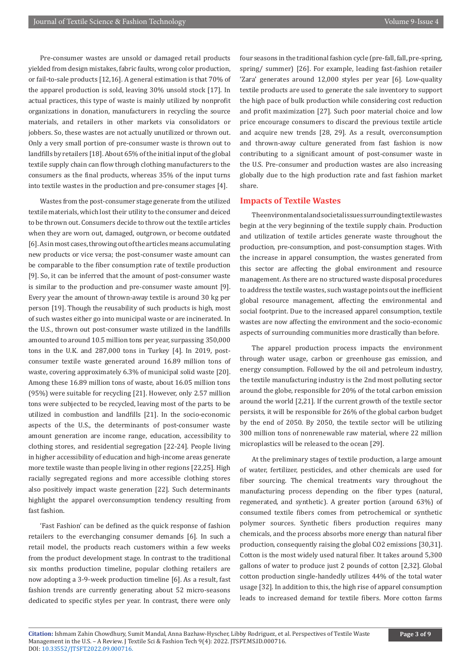Pre-consumer wastes are unsold or damaged retail products yielded from design mistakes, fabric faults, wrong color production, or fail-to-sale products [12,16]. A general estimation is that 70% of the apparel production is sold, leaving 30% unsold stock [17]. In actual practices, this type of waste is mainly utilized by nonprofit organizations in donation, manufacturers in recycling the source materials, and retailers in other markets via consolidators or jobbers. So, these wastes are not actually unutilized or thrown out. Only a very small portion of pre-consumer waste is thrown out to landfills by retailers [18]. About 65% of the initial input of the global textile supply chain can flow through clothing manufacturers to the consumers as the final products, whereas 35% of the input turns into textile wastes in the production and pre-consumer stages [4].

Wastes from the post-consumer stage generate from the utilized textile materials, which lost their utility to the consumer and deiced to be thrown out. Consumers decide to throw out the textile articles when they are worn out, damaged, outgrown, or become outdated [6]. As in most cases, throwing out of the articles means accumulating new products or vice versa; the post-consumer waste amount can be comparable to the fiber consumption rate of textile production [9]. So, it can be inferred that the amount of post-consumer waste is similar to the production and pre-consumer waste amount [9]. Every year the amount of thrown-away textile is around 30 kg per person [19]. Though the reusability of such products is high, most of such wastes either go into municipal waste or are incinerated. In the U.S., thrown out post-consumer waste utilized in the landfills amounted to around 10.5 million tons per year, surpassing 350,000 tons in the U.K. and 287,000 tons in Turkey [4]. In 2019, postconsumer textile waste generated around 16.89 million tons of waste, covering approximately 6.3% of municipal solid waste [20]. Among these 16.89 million tons of waste, about 16.05 million tons (95%) were suitable for recycling [21]. However, only 2.57 million tons were subjected to be recycled, leaving most of the parts to be utilized in combustion and landfills [21]. In the socio-economic aspects of the U.S., the determinants of post-consumer waste amount generation are income range, education, accessibility to clothing stores, and residential segregation [22-24]. People living in higher accessibility of education and high-income areas generate more textile waste than people living in other regions [22,25]. High racially segregated regions and more accessible clothing stores also positively impact waste generation [22]. Such determinants highlight the apparel overconsumption tendency resulting from fast fashion.

'Fast Fashion' can be defined as the quick response of fashion retailers to the everchanging consumer demands [6]. In such a retail model, the products reach customers within a few weeks from the product development stage. In contrast to the traditional six months production timeline, popular clothing retailers are now adopting a 3-9-week production timeline [6]. As a result, fast fashion trends are currently generating about 52 micro-seasons dedicated to specific styles per year. In contrast, there were only

four seasons in the traditional fashion cycle (pre-fall, fall, pre-spring, spring/ summer) [26]. For example, leading fast-fashion retailer 'Zara' generates around 12,000 styles per year [6]. Low-quality textile products are used to generate the sale inventory to support the high pace of bulk production while considering cost reduction and profit maximization [27]. Such poor material choice and low price encourage consumers to discard the previous textile article and acquire new trends [28, 29]. As a result, overconsumption and thrown-away culture generated from fast fashion is now contributing to a significant amount of post-consumer waste in the U.S. Pre-consumer and production wastes are also increasing globally due to the high production rate and fast fashion market share.

#### **Impacts of Textile Wastes**

The environmental and societal issues surrounding textile wastes begin at the very beginning of the textile supply chain. Production and utilization of textile articles generate waste throughout the production, pre-consumption, and post-consumption stages. With the increase in apparel consumption, the wastes generated from this sector are affecting the global environment and resource management. As there are no structured waste disposal procedures to address the textile wastes, such wastage points out the inefficient global resource management, affecting the environmental and social footprint. Due to the increased apparel consumption, textile wastes are now affecting the environment and the socio-economic aspects of surrounding communities more drastically than before.

The apparel production process impacts the environment through water usage, carbon or greenhouse gas emission, and energy consumption. Followed by the oil and petroleum industry, the textile manufacturing industry is the 2nd most polluting sector around the globe, responsible for 20% of the total carbon emission around the world [2,21]. If the current growth of the textile sector persists, it will be responsible for 26% of the global carbon budget by the end of 2050. By 2050, the textile sector will be utilizing 300 million tons of nonrenewable raw material, where 22 million microplastics will be released to the ocean [29].

At the preliminary stages of textile production, a large amount of water, fertilizer, pesticides, and other chemicals are used for fiber sourcing. The chemical treatments vary throughout the manufacturing process depending on the fiber types (natural, regenerated, and synthetic). A greater portion (around 63%) of consumed textile fibers comes from petrochemical or synthetic polymer sources. Synthetic fibers production requires many chemicals, and the process absorbs more energy than natural fiber production, consequently raising the global CO2 emissions [30,31]. Cotton is the most widely used natural fiber. It takes around 5,300 gallons of water to produce just 2 pounds of cotton [2,32]. Global cotton production single-handedly utilizes 44% of the total water usage [32]. In addition to this, the high rise of apparel consumption leads to increased demand for textile fibers. More cotton farms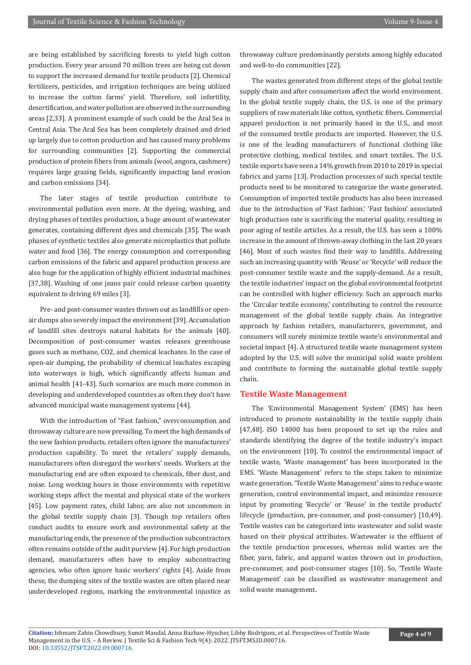are being established by sacrificing forests to yield high cotton production. Every year around 70 million trees are being cut down to support the increased demand for textile products [2]. Chemical fertilizers, pesticides, and irrigation techniques are being utilized to increase the cotton farms' yield. Therefore, soil infertility, desertification, and water pollution are observed in the surrounding areas [2,33]. A prominent example of such could be the Aral Sea in Central Asia. The Aral Sea has been completely drained and dried up largely due to cotton production and has caused many problems for surrounding communities [2]. Supporting the commercial production of protein fibers from animals (wool, angora, cashmere) requires large grazing fields, significantly impacting land erosion and carbon emissions [34].

The later stages of textile production contribute to environmental pollution even more. At the dyeing, washing, and drying phases of textiles production, a huge amount of wastewater generates, containing different dyes and chemicals [35]. The wash phases of synthetic textiles also generate microplastics that pollute water and food [36]. The energy consumption and corresponding carbon emissions of the fabric and apparel production process are also huge for the application of highly efficient industrial machines [37,38]. Washing of one jeans pair could release carbon quantity equivalent to driving 69 miles [3].

Pre- and post-consumer wastes thrown out as landfills or openair dumps also severely impact the environment [39]. Accumulation of landfill sites destroys natural habitats for the animals [40]. Decomposition of post-consumer wastes releases greenhouse gases such as methane, CO2, and chemical leachates. In the case of open-air dumping, the probability of chemical leachates escaping into waterways is high, which significantly affects human and animal health [41-43]. Such scenarios are much more common in developing and underdeveloped countries as often they don't have advanced municipal waste management systems [44].

With the introduction of "Fast fashion," overconsumption and throwaway culture are now prevailing. To meet the high demands of the new fashion products, retailers often ignore the manufacturers' production capability. To meet the retailers' supply demands, manufacturers often disregard the workers' needs. Workers at the manufacturing end are often exposed to chemicals, fiber dust, and noise. Long working hours in those environments with repetitive working steps affect the mental and physical state of the workers [45]. Low payment rates, child labor, are also not uncommon in the global textile supply chain [3]. Though top retailers often conduct audits to ensure work and environmental safety at the manufacturing ends, the presence of the production subcontractors often remains outside of the audit purview [4]. For high production demand, manufacturers often have to employ subcontracting agencies, who often ignore basic workers' rights [4]. Aside from these, the dumping sites of the textile wastes are often placed near underdeveloped regions, marking the environmental injustice as

throwaway culture predominantly persists among highly educated and well-to-do communities [22].

The wastes generated from different steps of the global textile supply chain and after consumerism affect the world environment. In the global textile supply chain, the U.S. is one of the primary suppliers of raw materials like cotton, synthetic fibers. Commercial apparel production is not primarily based in the U.S., and most of the consumed textile products are imported. However, the U.S. is one of the leading manufacturers of functional clothing like protective clothing, medical textiles, and smart textiles. The U.S. textile exports have seen a 14% growth from 2010 to 2019 in special fabrics and yarns [13]. Production processes of such special textile products need to be monitored to categorize the waste generated. Consumption of imported textile products has also been increased due to the introduction of 'Fast fashion.' 'Fast fashion' associated high production rate is sacrificing the material quality, resulting in poor aging of textile articles. As a result, the U.S. has seen a 100% increase in the amount of thrown-away clothing in the last 20 years [46]. Most of such wastes find their way to landfills. Addressing such an increasing quantity with 'Reuse' or 'Recycle' will reduce the post-consumer textile waste and the supply-demand. As a result, the textile industries' impact on the global environmental footprint can be controlled with higher efficiency. Such an approach marks the 'Circular textile economy,' contributing to control the resource management of the global textile supply chain. An integrative approach by fashion retailers, manufacturers, government, and consumers will surely minimize textile waste's environmental and societal impact [4]. A structured textile waste management system adopted by the U.S. will solve the municipal solid waste problem and contribute to forming the sustainable global textile supply chain.

## **Textile Waste Management**

The 'Environmental Management System' (EMS) has been introduced to promote sustainability in the textile supply chain [47,48]. ISO 14000 has been proposed to set up the rules and standards identifying the degree of the textile industry's impact on the environment [10]. To control the environmental impact of textile waste, 'Waste management' has been incorporated in the EMS. 'Waste Management' refers to the steps taken to minimize waste generation. 'Textile Waste Management' aims to reduce waste generation, control environmental impact, and minimize resource input by promoting 'Recycle' or 'Reuse' in the textile products' lifecycle (production, pre-consumer, and post-consumer) [10,49]. Textile wastes can be categorized into wastewater and solid waste based on their physical attributes. Wastewater is the effluent of the textile production processes, whereas solid wastes are the fiber, yarn, fabric, and apparel wastes thrown out in production, pre-consumer, and post-consumer stages [10]. So, 'Textile Waste Management' can be classified as wastewater management and solid waste management.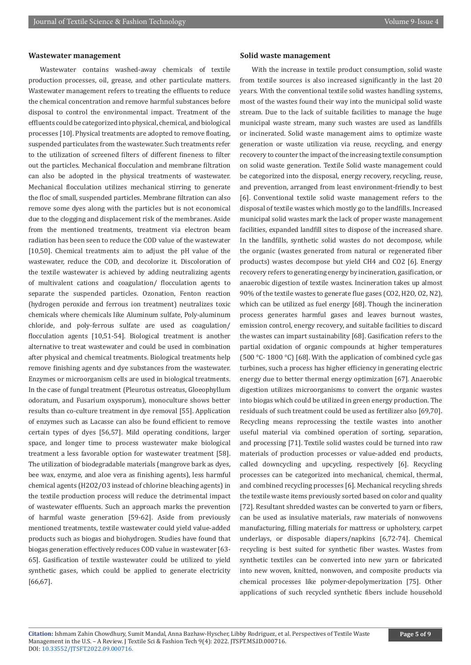#### **Wastewater management**

Wastewater contains washed-away chemicals of textile production processes, oil, grease, and other particulate matters. Wastewater management refers to treating the effluents to reduce the chemical concentration and remove harmful substances before disposal to control the environmental impact. Treatment of the effluents could be categorized into physical, chemical, and biological processes [10]. Physical treatments are adopted to remove floating, suspended particulates from the wastewater. Such treatments refer to the utilization of screened filters of different fineness to filter out the particles. Mechanical flocculation and membrane filtration can also be adopted in the physical treatments of wastewater. Mechanical flocculation utilizes mechanical stirring to generate the floc of small, suspended particles. Membrane filtration can also remove some dyes along with the particles but is not economical due to the clogging and displacement risk of the membranes. Aside from the mentioned treatments, treatment via electron beam radiation has been seen to reduce the COD value of the wastewater [10,50]. Chemical treatments aim to adjust the pH value of the wastewater, reduce the COD, and decolorize it. Discoloration of the textile wastewater is achieved by adding neutralizing agents of multivalent cations and coagulation/ flocculation agents to separate the suspended particles. Ozonation, Fenton reaction (hydrogen peroxide and ferrous ion treatment) neutralizes toxic chemicals where chemicals like Aluminum sulfate, Poly-aluminum chloride, and poly-ferrous sulfate are used as coagulation/ flocculation agents [10,51-54]. Biological treatment is another alternative to treat wastewater and could be used in combination after physical and chemical treatments. Biological treatments help remove finishing agents and dye substances from the wastewater. Enzymes or microorganism cells are used in biological treatments. In the case of fungal treatment (Pleurotus ostreatus, Gloeophyllum odoratum, and Fusarium oxysporum), monoculture shows better results than co-culture treatment in dye removal [55]. Application of enzymes such as Lacasse can also be found efficient to remove certain types of dyes [56,57]. Mild operating conditions, larger space, and longer time to process wastewater make biological treatment a less favorable option for wastewater treatment [58]. The utilization of biodegradable materials (mangrove bark as dyes, bee wax, enzyme, and aloe vera as finishing agents), less harmful chemical agents (H2O2/O3 instead of chlorine bleaching agents) in the textile production process will reduce the detrimental impact of wastewater effluents. Such an approach marks the prevention of harmful waste generation [59-62]. Aside from previously mentioned treatments, textile wastewater could yield value-added products such as biogas and biohydrogen. Studies have found that biogas generation effectively reduces COD value in wastewater [63- 65]. Gasification of textile wastewater could be utilized to yield synthetic gases, which could be applied to generate electricity [66,67].

#### **Solid waste management**

With the increase in textile product consumption, solid waste from textile sources is also increased significantly in the last 20 years. With the conventional textile solid wastes handling systems, most of the wastes found their way into the municipal solid waste stream. Due to the lack of suitable facilities to manage the huge municipal waste stream, many such wastes are used as landfills or incinerated. Solid waste management aims to optimize waste generation or waste utilization via reuse, recycling, and energy recovery to counter the impact of the increasing textile consumption on solid waste generation. Textile Solid waste management could be categorized into the disposal, energy recovery, recycling, reuse, and prevention, arranged from least environment-friendly to best [6]. Conventional textile solid waste management refers to the disposal of textile wastes which mostly go to the landfills. Increased municipal solid wastes mark the lack of proper waste management facilities, expanded landfill sites to dispose of the increased share. In the landfills, synthetic solid wastes do not decompose, while the organic (wastes generated from natural or regenerated fiber products) wastes decompose but yield CH4 and CO2 [6]. Energy recovery refers to generating energy by incineration, gasification, or anaerobic digestion of textile wastes. Incineration takes up almost 90% of the textile wastes to generate flue gases (CO2, H2O, O2, N2), which can be utilized as fuel energy [68]. Though the incineration process generates harmful gases and leaves burnout wastes, emission control, energy recovery, and suitable facilities to discard the wastes can impart sustainability [68]. Gasification refers to the partial oxidation of organic compounds at higher temperatures (500 °C- 1800 °C) [68]. With the application of combined cycle gas turbines, such a process has higher efficiency in generating electric energy due to better thermal energy optimization [67]. Anaerobic digestion utilizes microorganisms to convert the organic wastes into biogas which could be utilized in green energy production. The residuals of such treatment could be used as fertilizer also [69,70]. Recycling means reprocessing the textile wastes into another useful material via combined operation of sorting, separation, and processing [71]. Textile solid wastes could be turned into raw materials of production processes or value-added end products, called downcycling and upcycling, respectively [6]. Recycling processes can be categorized into mechanical, chemical, thermal, and combined recycling processes [6]. Mechanical recycling shreds the textile waste items previously sorted based on color and quality [72]. Resultant shredded wastes can be converted to yarn or fibers, can be used as insulative materials, raw materials of nonwovens manufacturing, filling materials for mattress or upholstery, carpet underlays, or disposable diapers/napkins [6,72-74]. Chemical recycling is best suited for synthetic fiber wastes. Wastes from synthetic textiles can be converted into new yarn or fabricated into new woven, knitted, nonwoven, and composite products via chemical processes like polymer-depolymerization [75]. Other applications of such recycled synthetic fibers include household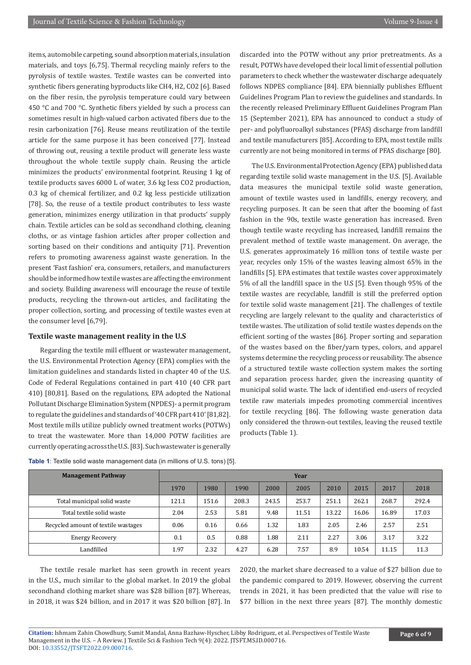items, automobile carpeting, sound absorption materials, insulation materials, and toys [6,75]. Thermal recycling mainly refers to the pyrolysis of textile wastes. Textile wastes can be converted into synthetic fibers generating byproducts like CH4, H2, CO2 [6]. Based on the fiber resin, the pyrolysis temperature could vary between 450 °C and 700 °C. Synthetic fibers yielded by such a process can sometimes result in high-valued carbon activated fibers due to the resin carbonization [76]. Reuse means reutilization of the textile article for the same purpose it has been conceived [77]. Instead of throwing out, reusing a textile product will generate less waste throughout the whole textile supply chain. Reusing the article minimizes the products' environmental footprint. Reusing 1 kg of textile products saves 6000 L of water, 3.6 kg less CO2 production, 0.3 kg of chemical fertilizer, and 0.2 kg less pesticide utilization [78]. So, the reuse of a textile product contributes to less waste generation, minimizes energy utilization in that products' supply chain. Textile articles can be sold as secondhand clothing, cleaning cloths, or as vintage fashion articles after proper collection and sorting based on their conditions and antiquity [71]. Prevention refers to promoting awareness against waste generation. In the present 'Fast fashion' era, consumers, retailers, and manufacturers should be informed how textile wastes are affecting the environment and society. Building awareness will encourage the reuse of textile products, recycling the thrown-out articles, and facilitating the proper collection, sorting, and processing of textile wastes even at the consumer level [6,79].

### **Textile waste management reality in the U.S**

Regarding the textile mill effluent or wastewater management, the U.S. Environmental Protection Agency (EPA) complies with the limitation guidelines and standards listed in chapter 40 of the U.S. Code of Federal Regulations contained in part 410 (40 CFR part 410) [80,81]. Based on the regulations, EPA adopted the National Pollutant Discharge Elimination System (NPDES)- a permit program to regulate the guidelines and standards of '40 CFR part 410' [81,82]. Most textile mills utilize publicly owned treatment works (POTWs) to treat the wastewater. More than 14,000 POTW facilities are currently operating across the U.S. [83]. Such wastewater is generally

discarded into the POTW without any prior pretreatments. As a result, POTWs have developed their local limit of essential pollution parameters to check whether the wastewater discharge adequately follows NDPES compliance [84]. EPA biennially publishes Effluent Guidelines Program Plan to review the guidelines and standards. In the recently released Preliminary Effluent Guidelines Program Plan 15 (September 2021), EPA has announced to conduct a study of per- and polyfluoroalkyl substances (PFAS) discharge from landfill and textile manufacturers [85]. According to EPA, most textile mills currently are not being monitored in terms of PFAS discharge [80].

The U.S. Environmental Protection Agency (EPA) published data regarding textile solid waste management in the U.S. [5]. Available data measures the municipal textile solid waste generation, amount of textile wastes used in landfills, energy recovery, and recycling purposes. It can be seen that after the booming of fast fashion in the 90s, textile waste generation has increased. Even though textile waste recycling has increased, landfill remains the prevalent method of textile waste management. On average, the U.S. generates approximately 16 million tons of textile waste per year, recycles only 15% of the wastes leaving almost 65% in the landfills [5]. EPA estimates that textile wastes cover approximately 5% of all the landfill space in the U.S [5]. Even though 95% of the textile wastes are recyclable, landfill is still the preferred option for textile solid waste management [21]. The challenges of textile recycling are largely relevant to the quality and characteristics of textile wastes. The utilization of solid textile wastes depends on the efficient sorting of the wastes [86]. Proper sorting and separation of the wastes based on the fiber/yarn types, colors, and apparel systems determine the recycling process or reusability. The absence of a structured textile waste collection system makes the sorting and separation process harder, given the increasing quantity of municipal solid waste. The lack of identified end-users of recycled textile raw materials impedes promoting commercial incentives for textile recycling [86]. The following waste generation data only considered the thrown-out textiles, leaving the reused textile products (Table 1).

| <b>Management Pathway</b>           | Year  |       |       |       |       |       |       |       |       |
|-------------------------------------|-------|-------|-------|-------|-------|-------|-------|-------|-------|
|                                     | 1970  | 1980  | 1990  | 2000  | 2005  | 2010  | 2015  | 2017  | 2018  |
| Total municipal solid waste         | 121.1 | 151.6 | 208.3 | 243.5 | 253.7 | 251.1 | 262.1 | 268.7 | 292.4 |
| Total textile solid waste           | 2.04  | 2.53  | 5.81  | 9.48  | 11.51 | 13.22 | 16.06 | 16.89 | 17.03 |
| Recycled amount of textile wastages | 0.06  | 0.16  | 0.66  | 1.32  | 1.83  | 2.05  | 2.46  | 2.57  | 2.51  |
| <b>Energy Recovery</b>              | 0.1   | 0.5   | 0.88  | 1.88  | 2.11  | 2.27  | 3.06  | 3.17  | 3.22  |
| Landfilled                          | 1.97  | 2.32  | 4.27  | 6.28  | 7.57  | 8.9   | 10.54 | 11.15 | 11.3  |

**Table 1**: Textile solid waste management data (in millions of U.S. tons) [5].

The textile resale market has seen growth in recent years in the U.S., much similar to the global market. In 2019 the global secondhand clothing market share was \$28 billion [87]. Whereas, in 2018, it was \$24 billion, and in 2017 it was \$20 billion [87]. In

2020, the market share decreased to a value of \$27 billion due to the pandemic compared to 2019. However, observing the current trends in 2021, it has been predicted that the value will rise to \$77 billion in the next three years [87]. The monthly domestic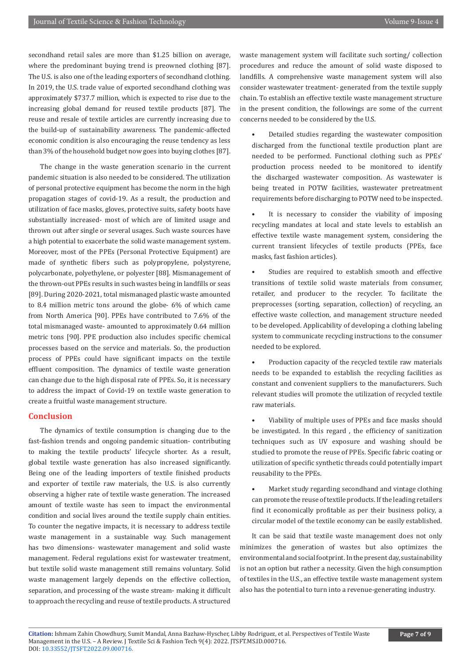secondhand retail sales are more than \$1.25 billion on average, where the predominant buying trend is preowned clothing [87]. The U.S. is also one of the leading exporters of secondhand clothing. In 2019, the U.S. trade value of exported secondhand clothing was approximately \$737.7 million, which is expected to rise due to the increasing global demand for reused textile products [87]. The reuse and resale of textile articles are currently increasing due to the build-up of sustainability awareness. The pandemic-affected economic condition is also encouraging the reuse tendency as less than 3% of the household budget now goes into buying clothes [87].

The change in the waste generation scenario in the current pandemic situation is also needed to be considered. The utilization of personal protective equipment has become the norm in the high propagation stages of covid-19. As a result, the production and utilization of face masks, gloves, protective suits, safety boots have substantially increased- most of which are of limited usage and thrown out after single or several usages. Such waste sources have a high potential to exacerbate the solid waste management system. Moreover, most of the PPEs (Personal Protective Equipment) are made of synthetic fibers such as polypropylene, polystyrene, polycarbonate, polyethylene, or polyester [88]. Mismanagement of the thrown-out PPEs results in such wastes being in landfills or seas [89]. During 2020-2021, total mismanaged plastic waste amounted to 8.4 million metric tons around the globe- 6% of which came from North America [90]. PPEs have contributed to 7.6% of the total mismanaged waste- amounted to approximately 0.64 million metric tons [90]. PPE production also includes specific chemical processes based on the service and materials. So, the production process of PPEs could have significant impacts on the textile effluent composition. The dynamics of textile waste generation can change due to the high disposal rate of PPEs. So, it is necessary to address the impact of Covid-19 on textile waste generation to create a fruitful waste management structure.

#### **Conclusion**

The dynamics of textile consumption is changing due to the fast-fashion trends and ongoing pandemic situation- contributing to making the textile products' lifecycle shorter. As a result, global textile waste generation has also increased significantly. Being one of the leading importers of textile finished products and exporter of textile raw materials, the U.S. is also currently observing a higher rate of textile waste generation. The increased amount of textile waste has seen to impact the environmental condition and social lives around the textile supply chain entities. To counter the negative impacts, it is necessary to address textile waste management in a sustainable way. Such management has two dimensions- wastewater management and solid waste management. Federal regulations exist for wastewater treatment, but textile solid waste management still remains voluntary. Solid waste management largely depends on the effective collection, separation, and processing of the waste stream- making it difficult to approach the recycling and reuse of textile products. A structured

waste management system will facilitate such sorting/ collection procedures and reduce the amount of solid waste disposed to landfills. A comprehensive waste management system will also consider wastewater treatment- generated from the textile supply chain. To establish an effective textile waste management structure in the present condition, the followings are some of the current concerns needed to be considered by the U.S.

• Detailed studies regarding the wastewater composition discharged from the functional textile production plant are needed to be performed. Functional clothing such as PPEs' production process needed to be monitored to identify the discharged wastewater composition. As wastewater is being treated in POTW facilities, wastewater pretreatment requirements before discharging to POTW need to be inspected.

It is necessary to consider the viability of imposing recycling mandates at local and state levels to establish an effective textile waste management system, considering the current transient lifecycles of textile products (PPEs, face masks, fast fashion articles).

• Studies are required to establish smooth and effective transitions of textile solid waste materials from consumer, retailer, and producer to the recycler. To facilitate the preprocesses (sorting, separation, collection) of recycling, an effective waste collection, and management structure needed to be developed. Applicability of developing a clothing labeling system to communicate recycling instructions to the consumer needed to be explored.

• Production capacity of the recycled textile raw materials needs to be expanded to establish the recycling facilities as constant and convenient suppliers to the manufacturers. Such relevant studies will promote the utilization of recycled textile raw materials.

• Viability of multiple uses of PPEs and face masks should be investigated. In this regard , the efficiency of sanitization techniques such as UV exposure and washing should be studied to promote the reuse of PPEs. Specific fabric coating or utilization of specific synthetic threads could potentially impart reusability to the PPEs.

• Market study regarding secondhand and vintage clothing can promote the reuse of textile products. If the leading retailers find it economically profitable as per their business policy, a circular model of the textile economy can be easily established.

It can be said that textile waste management does not only minimizes the generation of wastes but also optimizes the environmental and social footprint. In the present day, sustainability is not an option but rather a necessity. Given the high consumption of textiles in the U.S., an effective textile waste management system also has the potential to turn into a revenue-generating industry.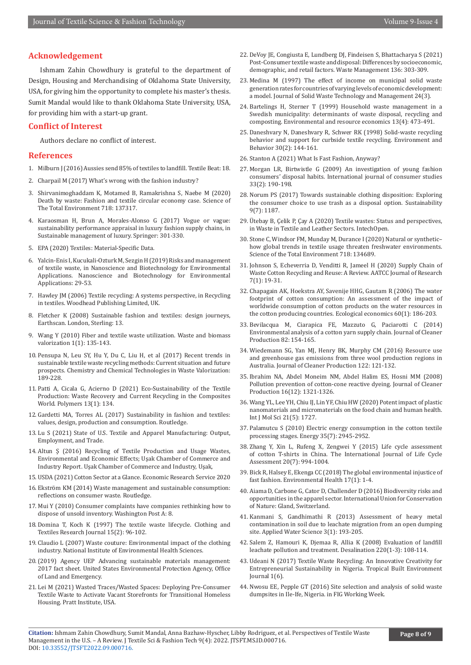# **Acknowledgement**

Ishmam Zahin Chowdhury is grateful to the department of Design, Housing and Merchandising of Oklahoma State University, USA, for giving him the opportunity to complete his master's thesis. Sumit Mandal would like to thank Oklahoma State University, USA, for providing him with a start-up grant.

### **Conflict of Interest**

Authors declare no conflict of interest.

# **References**

- 1. Milburn J (2016) Aussies send 85% of textiles to landfill. Textile Beat: 18.
- 2. Charpail M (2017) What's wrong with the fashion industry?
- 3. [Shirvanimoghaddam K, Motamed B, Ramakrishna S, Naebe M \(2020\)](https://www.sciencedirect.com/science/article/abs/pii/S0048969720308275)  [Death by waste: Fashion and textile circular economy case. Science of](https://www.sciencedirect.com/science/article/abs/pii/S0048969720308275)  [The Total Environment 718: 137317.](https://www.sciencedirect.com/science/article/abs/pii/S0048969720308275)
- 4. Karaosman H, Brun A, Morales-Alonso G (2017) Vogue or vague: sustainability performance appraisal in luxury fashion supply chains, in Sustainable management of luxury. Springer: 301-330.
- 5. EPA (2020) Textiles: Material-Specific Data.
- 6. [Yalcin-Enis I, Kucukali-Ozturk M, Sezgin H \(2019\) Risks and management](https://link.springer.com/chapter/10.1007/978-3-319-97922-9_2)  [of textile waste, in Nanoscience and Biotechnology for Environmental](https://link.springer.com/chapter/10.1007/978-3-319-97922-9_2)  [Applications. Nanoscience and Biotechnology for Environmental](https://link.springer.com/chapter/10.1007/978-3-319-97922-9_2)  [Applications: 29-53.](https://link.springer.com/chapter/10.1007/978-3-319-97922-9_2)
- 7. Hawley JM (2006) Textile recycling: A systems perspective, in Recycling in textiles. Woodhead Publishing Limited, UK.
- 8. Fletcher K (2008) Sustainable fashion and textiles: design journeys, Earthscan. London, Sterling: 13.
- 9. Wang Y (2010) Fiber and textile waste utilization. Waste and biomass valorization 1(1): 135-143.
- 10. [Pensupa N, Leu SY, Hu Y, Du C, Liu H, et al \(2017\) Recent trends in](https://link.springer.com/article/10.1007/s41061-017-0165-0)  [sustainable textile waste recycling methods: Current situation and future](https://link.springer.com/article/10.1007/s41061-017-0165-0)  [prospects. Chemistry and Chemical Technologies in Waste Valorization:](https://link.springer.com/article/10.1007/s41061-017-0165-0)  [189-228.](https://link.springer.com/article/10.1007/s41061-017-0165-0)
- 11. Patti A, Cicala G, Acierno D (2021) Eco-Sustainability of the Textile Production: Waste Recovery and Current Recycling in the Composites World. Polymers 13(1): 134.
- 12. Gardetti MA, Torres AL (2017) Sustainability in fashion and textiles: values, design, production and consumption. Routledge.
- 13. Lu S (2021) State of U.S. Textile and Apparel Manufacturing: Output, Employment, and Trade.
- 14. Altun Ş (2016) Recycling of Textile Production and Usage Wastes, Environmental and Economic Effects; Uşak Chamber of Commerce and Industry Report. Uşak Chamber of Commerce and Industry, Uşak,
- 15. USDA (2021) Cotton Sector at a Glance. Economic Research Service 2020
- 16. Ekström KM (2014) Waste management and sustainable consumption: reflections on consumer waste. Routledge.
- 17. Mui Y (2010) Consumer complaints have companies rethinking how to dispose of unsold inventory. Washington Post A: 8.
- 18. [Domina T, Koch K \(1997\) The textile waste lifecycle. Clothing and](https://journals.sagepub.com/doi/10.1177/0887302X9701500204)  [Textiles Research Journal 15\(2\): 96-102.](https://journals.sagepub.com/doi/10.1177/0887302X9701500204)
- 19. Claudio L (2007) Waste couture: Environmental impact of the clothing industry. National Institute of Environmental Health Sciences.
- 20.(2019) Agency UEP Advancing sustainable materials management: 2017 fact sheet. United States Environmental Protection Agency, Office of Land and Emergency.
- 21. Lei M (2021) Wasted Traces/Wasted Spaces: Deploying Pre-Consumer Textile Waste to Activate Vacant Storefronts for Transitional Homeless Housing. Pratt Institute, USA.
- 22. [DeVoy JE, Congiusta E, Lundberg DJ, Findeisen S, Bhattacharya S \(2021\)](https://www.sciencedirect.com/science/article/pii/S0956053X21005390) [Post-Consumer textile waste and disposal: Differences by socioeconomic,](https://www.sciencedirect.com/science/article/pii/S0956053X21005390) [demographic, and retail factors. Waste Management 136: 303-309.](https://www.sciencedirect.com/science/article/pii/S0956053X21005390)
- 23. Medina M (1997) The effect of income on municipal solid waste generation rates for countries of varying levels of economic development: a model. Journal of Solid Waste Technology and Management 24(3).
- 24. [Bartelings H, Sterner T \(1999\) Household waste management in a](https://link.springer.com/article/10.1023/A:1008214417099) [Swedish municipality: determinants of waste disposal, recycling and](https://link.springer.com/article/10.1023/A:1008214417099) [composting. Environmental and resource economics 13\(4\): 473-491.](https://link.springer.com/article/10.1023/A:1008214417099)
- 25. [Daneshvary N, Daneshvary R, Schwer RK \(1998\) Solid-waste recycling](https://journals.sagepub.com/doi/10.1177/0013916598302002) [behavior and support for curbside textile recycling. Environment and](https://journals.sagepub.com/doi/10.1177/0013916598302002) [Behavior 30\(2\): 144-161.](https://journals.sagepub.com/doi/10.1177/0013916598302002)
- 26. Stanton A (2021) What Is Fast Fashion, Anyway?
- 27. [Morgan LR, Birtwistle G \(2009\) An investigation of young fashion](https://onlinelibrary.wiley.com/doi/abs/10.1111/j.1470-6431.2009.00756.x) [consumers' disposal habits. International journal of consumer studies](https://onlinelibrary.wiley.com/doi/abs/10.1111/j.1470-6431.2009.00756.x) [33\(2\): 190-198.](https://onlinelibrary.wiley.com/doi/abs/10.1111/j.1470-6431.2009.00756.x)
- 28. Norum PS (2017) Towards sustainable clothing disposition: Exploring the consumer choice to use trash as a disposal option. Sustainability 9(7): 1187.
- 29. Ütebay B, Çelik P, Çay A (2020) Textile wastes: Status and perspectives, in Waste in Textile and Leather Sectors. IntechOpen.
- 30. [Stone C, Windsor FM, Munday M, Durance I \(2020\) Natural or synthetic–](https://www.sciencedirect.com/science/article/pii/S0048969719346807) [how global trends in textile usage threaten freshwater environments.](https://www.sciencedirect.com/science/article/pii/S0048969719346807) [Science of the Total Environment 718: 134689.](https://www.sciencedirect.com/science/article/pii/S0048969719346807)
- 31. Johnson S, Echeverria D, Venditti R, Jameel H (2020) Supply Chain of Waste Cotton Recycling and Reuse: A Review. AATCC Journal of Research 7(1): 19-31.
- 32. [Chapagain AK, Hoekstra AY, Savenije HHG, Gautam R \(2006\) The water](https://www.sciencedirect.com/science/article/abs/pii/S0921800905005574) [footprint of cotton consumption: An assessment of the impact of](https://www.sciencedirect.com/science/article/abs/pii/S0921800905005574) [worldwide consumption of cotton products on the water resources in](https://www.sciencedirect.com/science/article/abs/pii/S0921800905005574) [the cotton producing countries. Ecological economics 60\(1\): 186-203.](https://www.sciencedirect.com/science/article/abs/pii/S0921800905005574)
- 33. [Bevilacqua M, Ciarapica FE, Mazzuto G, Paciarotti C \(2014\)](https://www.sciencedirect.com/science/article/abs/pii/S0959652614006702) [Environmental analysis of a cotton yarn supply chain. Journal of Cleaner](https://www.sciencedirect.com/science/article/abs/pii/S0959652614006702) [Production 82: 154-165.](https://www.sciencedirect.com/science/article/abs/pii/S0959652614006702)
- 34. [Wiedemann SG, Yan MJ, Henry BK, Murphy CM \(2016\) Resource use](https://www.sciencedirect.com/science/article/pii/S0959652616001700) [and greenhouse gas emissions from three wool production regions in](https://www.sciencedirect.com/science/article/pii/S0959652616001700) [Australia. Journal of Cleaner Production 122: 121-132.](https://www.sciencedirect.com/science/article/pii/S0959652616001700)
- 35. [Ibrahim NA, Abdel Moneim NM, Abdel Halim ES, Hosni MM \(2008\)](https://www.sciencedirect.com/science/article/abs/pii/S0959652607001709?via%3Dihub) [Pollution prevention of cotton-cone reactive dyeing. Journal of Cleaner](https://www.sciencedirect.com/science/article/abs/pii/S0959652607001709?via%3Dihub) [Production 16\(12\): 1321-1326.](https://www.sciencedirect.com/science/article/abs/pii/S0959652607001709?via%3Dihub)
- 36. [Wang YL, Lee YH, Chiu IJ, Lin YF, Chiu HW \(2020\) Potent impact of plastic](https://pubmed.ncbi.nlm.nih.gov/32138322/) [nanomaterials and micromaterials on the food chain and human health.](https://pubmed.ncbi.nlm.nih.gov/32138322/) [Int J Mol Sci 21\(5\): 1727.](https://pubmed.ncbi.nlm.nih.gov/32138322/)
- 37. Palamutcu S (2010) Electric energy consumption in the cotton textile processing stages. Energy 35(7): 2945-2952.
- 38. [Zhang Y, Xin L, Rufeng X, Zengwei Y \(2015\) Life cycle assessment](https://link.springer.com/article/10.1007/s11367-015-0889-4) [of cotton T-shirts in China. The International Journal of Life Cycle](https://link.springer.com/article/10.1007/s11367-015-0889-4) [Assessment 20\(7\): 994-1004.](https://link.springer.com/article/10.1007/s11367-015-0889-4)
- 39. Bick R, Halsey E, Ekenga CC (2018) The global environmental injustice of fast fashion. Environmental Health 17(1): 1-4.
- 40. Aiama D, Carbone G, Cator D, Challender D (2016) Biodiversity risks and opportunities in the apparel sector. International Union for Conservation of Nature: Gland, Switzerland.
- 41. [Kanmani S, Gandhimathi R \(2013\) Assessment of heavy metal](https://link.springer.com/article/10.1007/s13201-012-0072-z) [contamination in soil due to leachate migration from an open dumping](https://link.springer.com/article/10.1007/s13201-012-0072-z) [site. Applied Water Science 3\(1\): 193-205.](https://link.springer.com/article/10.1007/s13201-012-0072-z)
- 42. [Salem Z, Hamouri K, Djemaa R, Allia K \(2008\) Evaluation of landfill](https://www.sciencedirect.com/science/article/abs/pii/S0011916407006091) [leachate pollution and treatment. Desalination 220\(1-3\): 108-114.](https://www.sciencedirect.com/science/article/abs/pii/S0011916407006091)
- 43. Udeani N (2017) Textile Waste Recycling: An Innovative Creativity for Entrepreneurial Sustainability in Nigeria. Tropical Built Environment Journal 1(6).
- 44. Nwosu EE, Pepple GT (2016) Site selection and analysis of solid waste dumpsites in Ile-Ife, Nigeria. in FIG Working Week.